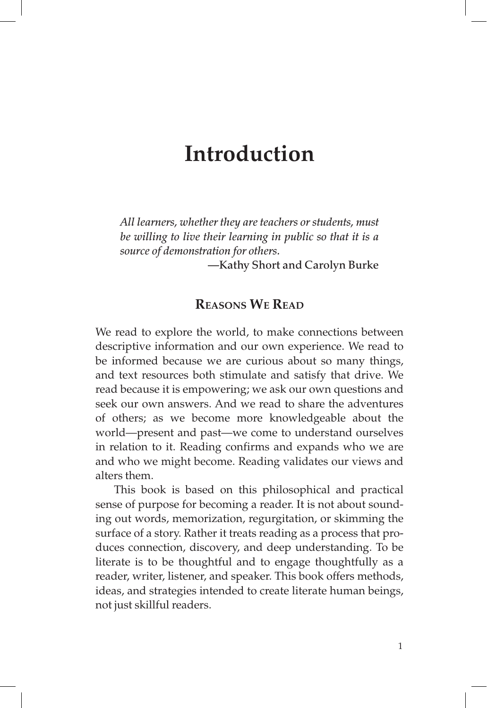# **Introduction**

*All learners, whether they are teachers or students, must be willing to live their learning in public so that it is a source of demonstration for others.* 

—Kathy Short and Carolyn Burke

#### **Reasons We Read**

We read to explore the world, to make connections between descriptive information and our own experience. We read to be informed because we are curious about so many things, and text resources both stimulate and satisfy that drive. We read because it is empowering; we ask our own questions and seek our own answers. And we read to share the adventures of others; as we become more knowledgeable about the world—present and past—we come to understand ourselves in relation to it. Reading confirms and expands who we are and who we might become. Reading validates our views and alters them.

This book is based on this philosophical and practical sense of purpose for becoming a reader. It is not about sounding out words, memorization, regurgitation, or skimming the surface of a story. Rather it treats reading as a process that produces connection, discovery, and deep understanding. To be literate is to be thoughtful and to engage thoughtfully as a reader, writer, listener, and speaker. This book offers methods, ideas, and strategies intended to create literate human beings, not just skillful readers.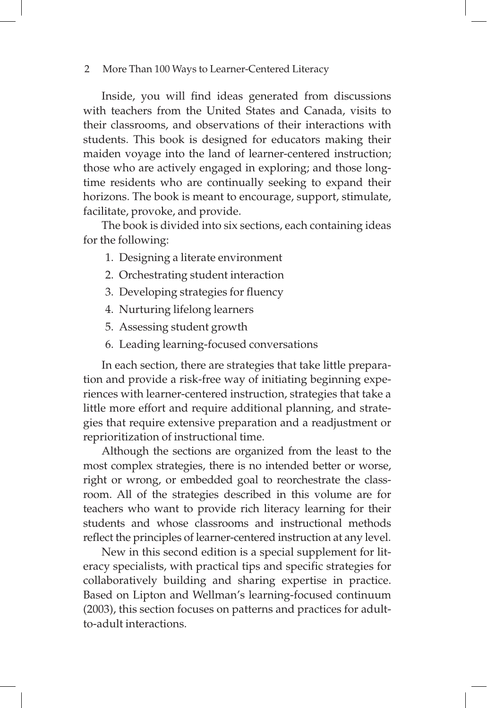Inside, you will find ideas generated from discussions with teachers from the United States and Canada, visits to their classrooms, and observations of their interactions with students. This book is designed for educators making their maiden voyage into the land of learner-centered instruction; those who are actively engaged in exploring; and those longtime residents who are continually seeking to expand their horizons. The book is meant to encourage, support, stimulate, facilitate, provoke, and provide.

The book is divided into six sections, each containing ideas for the following:

- 1. Designing a literate environment
- 2. Orchestrating student interaction
- 3. Developing strategies for fluency
- 4. Nurturing lifelong learners
- 5. Assessing student growth
- 6. Leading learning-focused conversations

In each section, there are strategies that take little preparation and provide a risk-free way of initiating beginning experiences with learner-centered instruction, strategies that take a little more effort and require additional planning, and strategies that require extensive preparation and a readjustment or reprioritization of instructional time.

Although the sections are organized from the least to the most complex strategies, there is no intended better or worse, right or wrong, or embedded goal to reorchestrate the classroom. All of the strategies described in this volume are for teachers who want to provide rich literacy learning for their students and whose classrooms and instructional methods reflect the principles of learner-centered instruction at any level.

New in this second edition is a special supplement for literacy specialists, with practical tips and specific strategies for collaboratively building and sharing expertise in practice. Based on Lipton and Wellman's learning-focused continuum (2003), this section focuses on patterns and practices for adultto-adult interactions.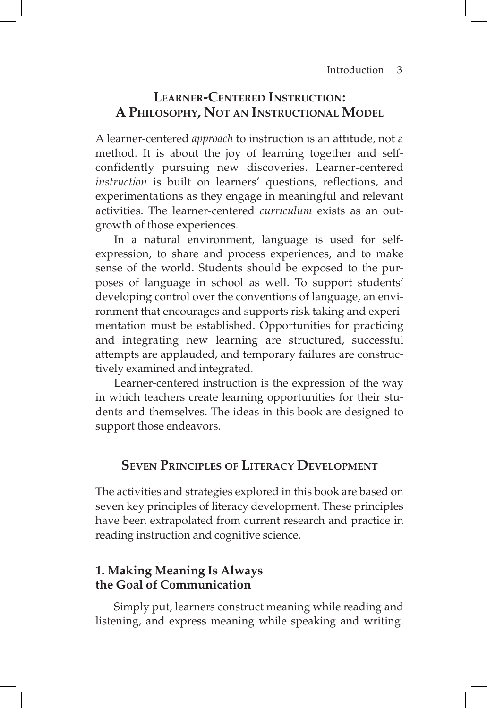# **Learner-Centered Instruction: A Philosophy, Not an Instructional Model**

A learner-centered *approach* to instruction is an attitude, not a method. It is about the joy of learning together and selfconfidently pursuing new discoveries. Learner-centered *instruction* is built on learners' questions, reflections, and experimentations as they engage in meaningful and relevant activities. The learner-centered *curriculum* exists as an outgrowth of those experiences.

In a natural environment, language is used for selfexpression, to share and process experiences, and to make sense of the world. Students should be exposed to the purposes of language in school as well. To support students' developing control over the conventions of language, an environment that encourages and supports risk taking and experimentation must be established. Opportunities for practicing and integrating new learning are structured, successful attempts are applauded, and temporary failures are constructively examined and integrated.

Learner-centered instruction is the expression of the way in which teachers create learning opportunities for their students and themselves. The ideas in this book are designed to support those endeavors.

### **Seven Principles of Literacy Development**

The activities and strategies explored in this book are based on seven key principles of literacy development. These principles have been extrapolated from current research and practice in reading instruction and cognitive science.

#### **1. Making Meaning Is Always the Goal of Communication**

Simply put, learners construct meaning while reading and listening, and express meaning while speaking and writing.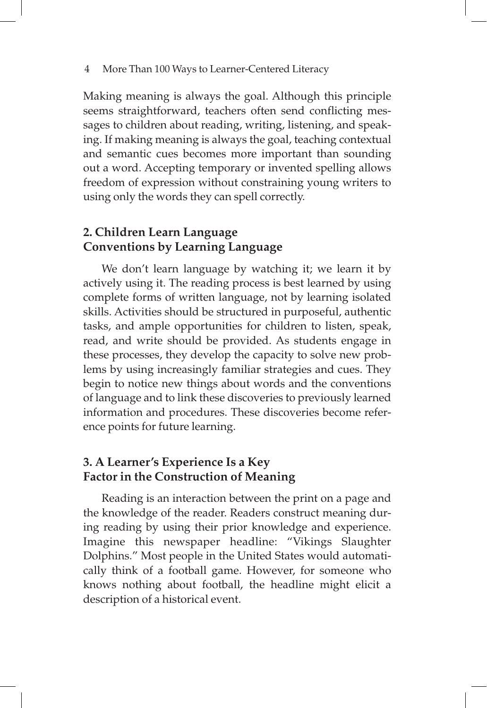Making meaning is always the goal. Although this principle seems straightforward, teachers often send conflicting messages to children about reading, writing, listening, and speaking. If making meaning is always the goal, teaching contextual and semantic cues becomes more important than sounding out a word. Accepting temporary or invented spelling allows freedom of expression without constraining young writers to using only the words they can spell correctly.

# **2. Children Learn Language Conventions by Learning Language**

We don't learn language by watching it; we learn it by actively using it. The reading process is best learned by using complete forms of written language, not by learning isolated skills. Activities should be structured in purposeful, authentic tasks, and ample opportunities for children to listen, speak, read, and write should be provided. As students engage in these processes, they develop the capacity to solve new problems by using increasingly familiar strategies and cues. They begin to notice new things about words and the conventions of language and to link these discoveries to previously learned information and procedures. These discoveries become reference points for future learning.

# **3. A Learner's Experience Is a Key Factor in the Construction of Meaning**

Reading is an interaction between the print on a page and the knowledge of the reader. Readers construct meaning during reading by using their prior knowledge and experience. Imagine this newspaper headline: "Vikings Slaughter Dolphins." Most people in the United States would automatically think of a football game. However, for someone who knows nothing about football, the headline might elicit a description of a historical event.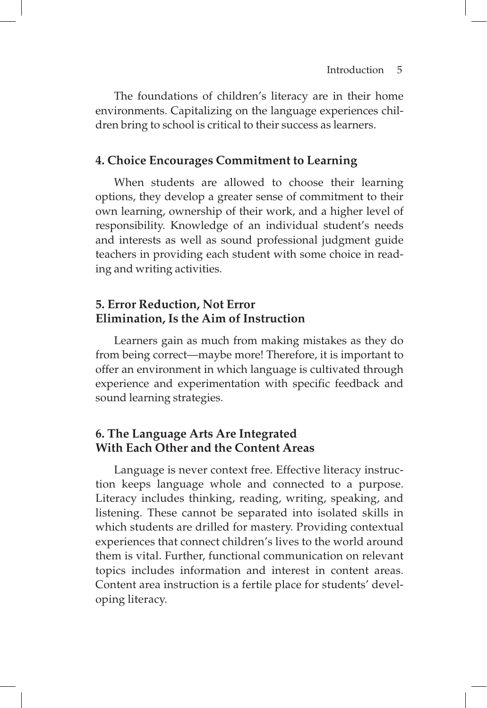The foundations of children's literacy are in their home environments. Capitalizing on the language experiences children bring to school is critical to their success as learners.

#### **4. Choice Encourages Commitment to Learning**

When students are allowed to choose their learning options, they develop a greater sense of commitment to their own learning, ownership of their work, and a higher level of responsibility. Knowledge of an individual student's needs and interests as well as sound professional judgment guide teachers in providing each student with some choice in reading and writing activities.

#### **5. Error Reduction, Not Error Elimination, Is the Aim of Instruction**

Learners gain as much from making mistakes as they do from being correct—maybe more! Therefore, it is important to offer an environment in which language is cultivated through experience and experimentation with specific feedback and sound learning strategies.

### **6. The Language Arts Are Integrated With Each Other and the Content Areas**

Language is never context free. Effective literacy instruction keeps language whole and connected to a purpose. Literacy includes thinking, reading, writing, speaking, and listening. These cannot be separated into isolated skills in which students are drilled for mastery. Providing contextual experiences that connect children's lives to the world around them is vital. Further, functional communication on relevant topics includes information and interest in content areas. Content area instruction is a fertile place for students' developing literacy.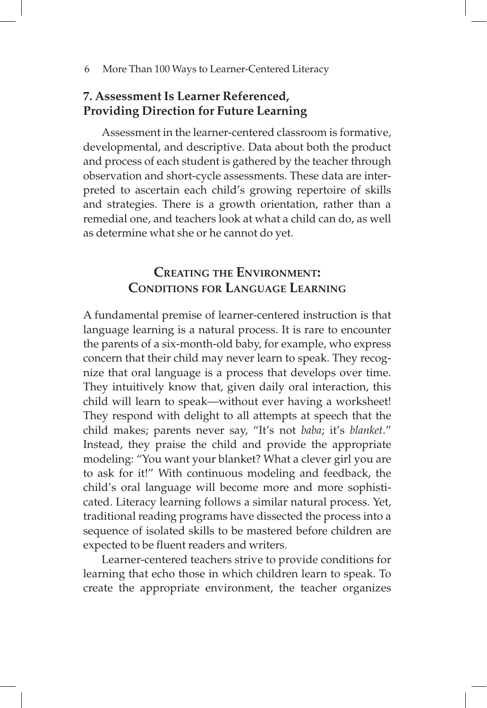### **7. Assessment Is Learner Referenced, Providing Direction for Future Learning**

Assessment in the learner-centered classroom is formative, developmental, and descriptive. Data about both the product and process of each student is gathered by the teacher through observation and short-cycle assessments. These data are interpreted to ascertain each child's growing repertoire of skills and strategies. There is a growth orientation, rather than a remedial one, and teachers look at what a child can do, as well as determine what she or he cannot do yet.

# **Creating the Environment: Conditions for Language Learning**

A fundamental premise of learner-centered instruction is that language learning is a natural process. It is rare to encounter the parents of a six-month-old baby, for example, who express concern that their child may never learn to speak. They recognize that oral language is a process that develops over time. They intuitively know that, given daily oral interaction, this child will learn to speak—without ever having a worksheet! They respond with delight to all attempts at speech that the child makes; parents never say, "It's not *baba*; it's *blanket*." Instead, they praise the child and provide the appropriate modeling: "You want your blanket? What a clever girl you are to ask for it!" With continuous modeling and feedback, the child's oral language will become more and more sophisticated. Literacy learning follows a similar natural process. Yet, traditional reading programs have dissected the process into a sequence of isolated skills to be mastered before children are expected to be fluent readers and writers.

Learner-centered teachers strive to provide conditions for learning that echo those in which children learn to speak. To create the appropriate environment, the teacher organizes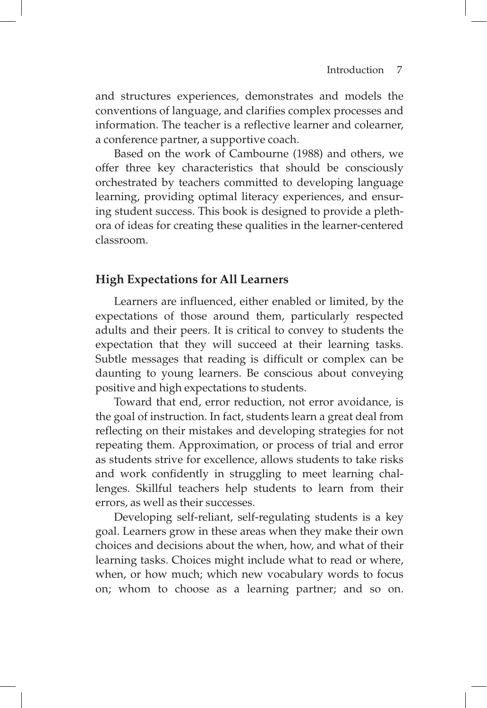and structures experiences, demonstrates and models the conventions of language, and clarifies complex processes and information. The teacher is a reflective learner and colearner, a conference partner, a supportive coach.

Based on the work of Cambourne (1988) and others, we offer three key characteristics that should be consciously orchestrated by teachers committed to developing language learning, providing optimal literacy experiences, and ensuring student success. This book is designed to provide a plethora of ideas for creating these qualities in the learner-centered classroom.

#### **High Expectations for All Learners**

Learners are influenced, either enabled or limited, by the expectations of those around them, particularly respected adults and their peers. It is critical to convey to students the expectation that they will succeed at their learning tasks. Subtle messages that reading is difficult or complex can be daunting to young learners. Be conscious about conveying positive and high expectations to students.

Toward that end, error reduction, not error avoidance, is the goal of instruction. In fact, students learn a great deal from reflecting on their mistakes and developing strategies for not repeating them. Approximation, or process of trial and error as students strive for excellence, allows students to take risks and work confidently in struggling to meet learning challenges. Skillful teachers help students to learn from their errors, as well as their successes.

Developing self-reliant, self-regulating students is a key goal. Learners grow in these areas when they make their own choices and decisions about the when, how, and what of their learning tasks. Choices might include what to read or where, when, or how much; which new vocabulary words to focus on; whom to choose as a learning partner; and so on.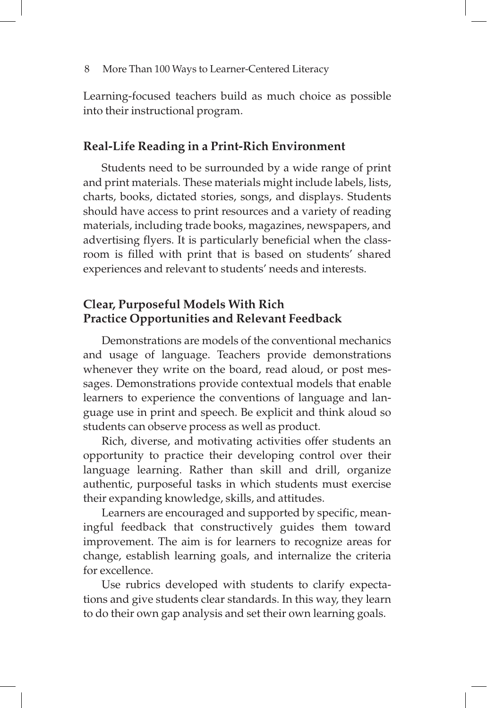Learning-focused teachers build as much choice as possible into their instructional program.

#### **Real-Life Reading in a Print-Rich Environment**

Students need to be surrounded by a wide range of print and print materials. These materials might include labels, lists, charts, books, dictated stories, songs, and displays. Students should have access to print resources and a variety of reading materials, including trade books, magazines, newspapers, and advertising flyers. It is particularly beneficial when the classroom is filled with print that is based on students' shared experiences and relevant to students' needs and interests.

# **Clear, Purposeful Models With Rich Practice Opportunities and Relevant Feedback**

Demonstrations are models of the conventional mechanics and usage of language. Teachers provide demonstrations whenever they write on the board, read aloud, or post messages. Demonstrations provide contextual models that enable learners to experience the conventions of language and language use in print and speech. Be explicit and think aloud so students can observe process as well as product.

Rich, diverse, and motivating activities offer students an opportunity to practice their developing control over their language learning. Rather than skill and drill, organize authentic, purposeful tasks in which students must exercise their expanding knowledge, skills, and attitudes.

Learners are encouraged and supported by specific, meaningful feedback that constructively guides them toward improvement. The aim is for learners to recognize areas for change, establish learning goals, and internalize the criteria for excellence.

Use rubrics developed with students to clarify expectations and give students clear standards. In this way, they learn to do their own gap analysis and set their own learning goals.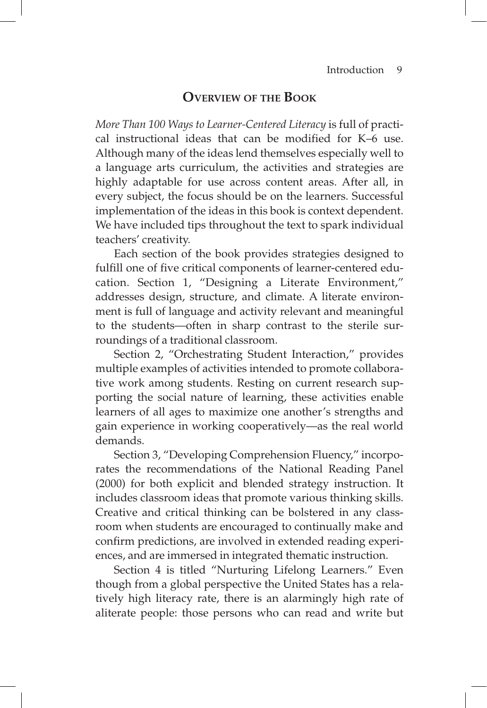# **Overview of the Book**

*More Than 100 Ways to Learner-Centered Literacy* is full of practical instructional ideas that can be modified for K–6 use. Although many of the ideas lend themselves especially well to a language arts curriculum, the activities and strategies are highly adaptable for use across content areas. After all, in every subject, the focus should be on the learners. Successful implementation of the ideas in this book is context dependent. We have included tips throughout the text to spark individual teachers' creativity.

Each section of the book provides strategies designed to fulfill one of five critical components of learner-centered education. Section 1, "Designing a Literate Environment," addresses design, structure, and climate. A literate environment is full of language and activity relevant and meaningful to the students—often in sharp contrast to the sterile surroundings of a traditional classroom.

Section 2, "Orchestrating Student Interaction," provides multiple examples of activities intended to promote collaborative work among students. Resting on current research supporting the social nature of learning, these activities enable learners of all ages to maximize one another's strengths and gain experience in working cooperatively—as the real world demands.

Section 3, "Developing Comprehension Fluency," incorporates the recommendations of the National Reading Panel (2000) for both explicit and blended strategy instruction. It includes classroom ideas that promote various thinking skills. Creative and critical thinking can be bolstered in any classroom when students are encouraged to continually make and confirm predictions, are involved in extended reading experiences, and are immersed in integrated thematic instruction.

Section 4 is titled "Nurturing Lifelong Learners." Even though from a global perspective the United States has a relatively high literacy rate, there is an alarmingly high rate of aliterate people: those persons who can read and write but